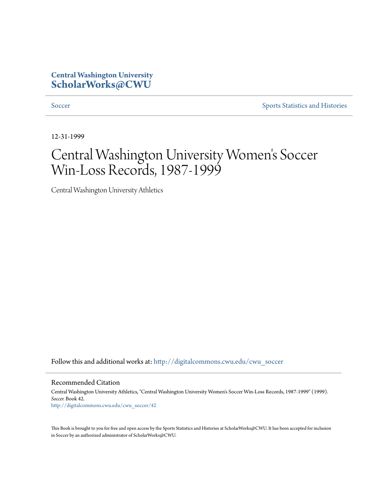## **Central Washington University [ScholarWorks@CWU](http://digitalcommons.cwu.edu?utm_source=digitalcommons.cwu.edu%2Fcwu_soccer%2F42&utm_medium=PDF&utm_campaign=PDFCoverPages)**

[Soccer](http://digitalcommons.cwu.edu/cwu_soccer?utm_source=digitalcommons.cwu.edu%2Fcwu_soccer%2F42&utm_medium=PDF&utm_campaign=PDFCoverPages) [Sports Statistics and Histories](http://digitalcommons.cwu.edu/cwu_sports_statistics?utm_source=digitalcommons.cwu.edu%2Fcwu_soccer%2F42&utm_medium=PDF&utm_campaign=PDFCoverPages)

12-31-1999

# Central Washington University Women 's Soccer Win-Loss Records, 1987-1999

Central Washington University Athletics

Follow this and additional works at: [http://digitalcommons.cwu.edu/cwu\\_soccer](http://digitalcommons.cwu.edu/cwu_soccer?utm_source=digitalcommons.cwu.edu%2Fcwu_soccer%2F42&utm_medium=PDF&utm_campaign=PDFCoverPages)

Recommended Citation

Central Washington University Athletics, "Central Washington University Women's Soccer Win-Loss Records, 1987-1999" (1999). *Soccer.* Book 42. [http://digitalcommons.cwu.edu/cwu\\_soccer/42](http://digitalcommons.cwu.edu/cwu_soccer/42?utm_source=digitalcommons.cwu.edu%2Fcwu_soccer%2F42&utm_medium=PDF&utm_campaign=PDFCoverPages)

This Book is brought to you for free and open access by the Sports Statistics and Histories at ScholarWorks@CWU. It has been accepted for inclusion in Soccer by an authorized administrator of ScholarWorks@CWU.